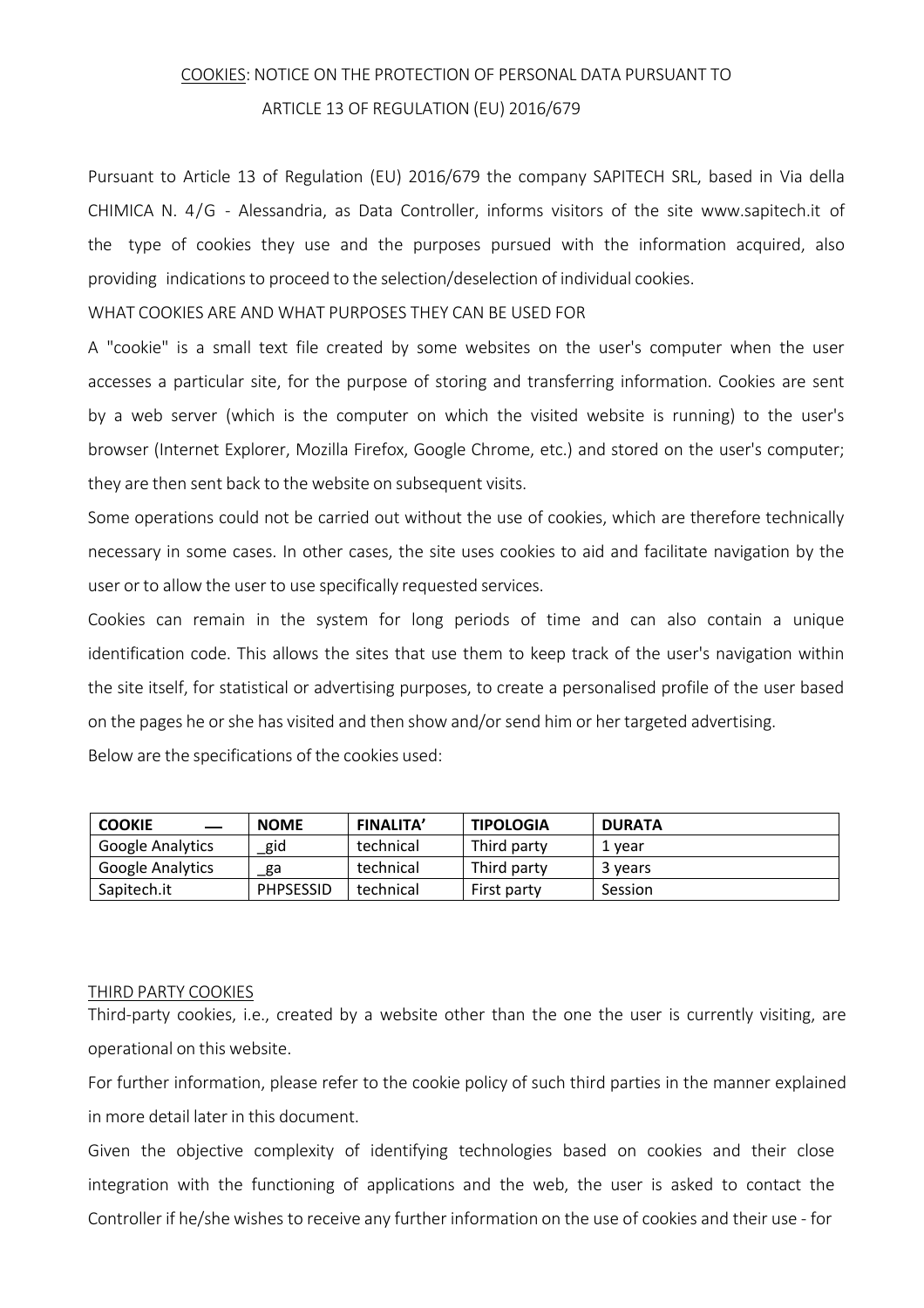# COOKIES: NOTICE ON THE PROTECTION OF PERSONAL DATA PURSUANT TO ARTICLE 13 OF REGULATION (EU) 2016/679

Pursuant to Article 13 of Regulation (EU) 2016/679 the company SAPITECH SRL, based in Via della CHIMICA N. 4/G ‐ Alessandria, as Data Controller, informs visitors of the site www.sapitech.it of the type of cookies they use and the purposes pursued with the information acquired, also providing indications to proceed to the selection/deselection of individual cookies.

WHAT COOKIES ARE AND WHAT PURPOSES THEY CAN BE USED FOR

A "cookie" is a small text file created by some websites on the user's computer when the user accesses a particular site, for the purpose of storing and transferring information. Cookies are sent by a web server (which is the computer on which the visited website is running) to the user's browser (Internet Explorer, Mozilla Firefox, Google Chrome, etc.) and stored on the user's computer; they are then sent back to the website on subsequent visits.

Some operations could not be carried out without the use of cookies, which are therefore technically necessary in some cases. In other cases, the site uses cookies to aid and facilitate navigation by the user or to allow the user to use specifically requested services.

Cookies can remain in the system for long periods of time and can also contain a unique identification code. This allows the sites that use them to keep track of the user's navigation within the site itself, for statistical or advertising purposes, to create a personalised profile of the user based on the pages he or she has visited and then show and/or send him or her targeted advertising. Below are the specifications of the cookies used:

| <b>COOKIE</b><br>$\overline{\phantom{m}}$ | <b>NOME</b>      | <b>FINALITA'</b> | <b>TIPOLOGIA</b> | <b>DURATA</b> |
|-------------------------------------------|------------------|------------------|------------------|---------------|
| <b>Google Analytics</b>                   | gid              | technical        | Third party      | 1 year        |
| <b>Google Analytics</b>                   | ga               | technical        | Third party      | 3 years       |
| Sapitech.it                               | <b>PHPSESSID</b> | technical        | First party      | Session       |

### THIRD PARTY COOKIES

Third-party cookies, i.e., created by a website other than the one the user is currently visiting, are operational on this website.

For further information, please refer to the cookie policy of such third parties in the manner explained in more detail later in this document.

Given the objective complexity of identifying technologies based on cookies and their close integration with the functioning of applications and the web, the user is asked to contact the Controller if he/she wishes to receive any further information on the use of cookies and their use ‐ for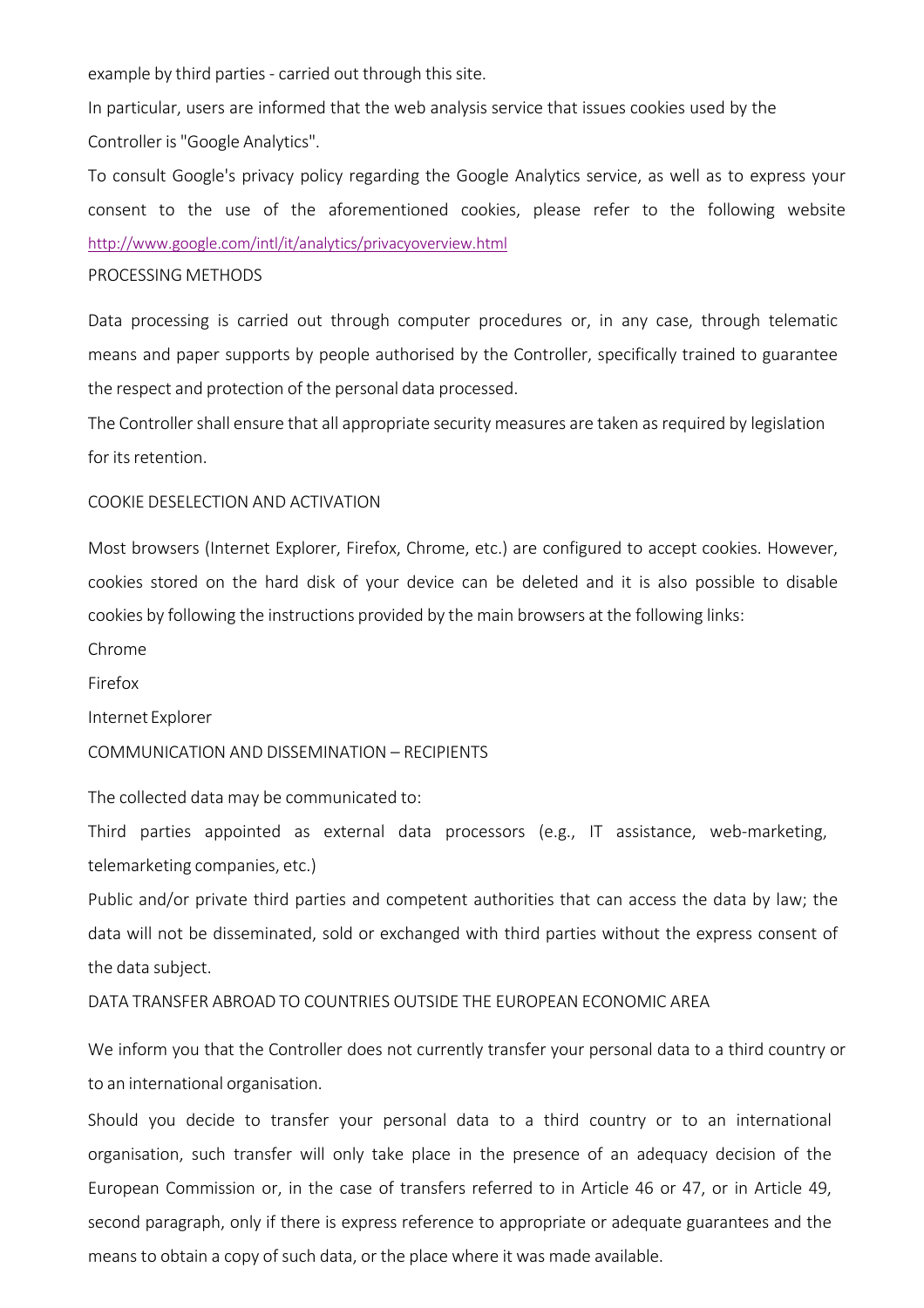example by third parties ‐ carried out through this site.

In particular, users are informed that the web analysis service that issues cookies used by the Controller is "Google Analytics".

To consult Google's privacy policy regarding the Google Analytics service, as well as to express your consent to the use of the aforementioned cookies, please refer to the following website http://www.google.com/intl/it/analytics/privacyoverview.html

#### PROCESSING METHODS

Data processing is carried out through computer procedures or, in any case, through telematic means and paper supports by people authorised by the Controller, specifically trained to guarantee the respect and protection of the personal data processed.

The Controller shall ensure that all appropriate security measures are taken as required by legislation for its retention.

#### COOKIE DESELECTION AND ACTIVATION

Most browsers (Internet Explorer, Firefox, Chrome, etc.) are configured to accept cookies. However, cookies stored on the hard disk of your device can be deleted and it is also possible to disable cookies by following the instructions provided by the main browsers at the following links:

Chrome

Firefox

Internet Explorer

#### COMMUNICATION AND DISSEMINATION – RECIPIENTS

The collected data may be communicated to:

Third parties appointed as external data processors (e.g., IT assistance, web-marketing, telemarketing companies, etc.)

Public and/or private third parties and competent authorities that can access the data by law; the data will not be disseminated, sold or exchanged with third parties without the express consent of the data subject.

DATA TRANSFER ABROAD TO COUNTRIES OUTSIDE THE EUROPEAN ECONOMIC AREA

We inform you that the Controller does not currently transfer your personal data to a third country or to an international organisation.

Should you decide to transfer your personal data to a third country or to an international organisation, such transfer will only take place in the presence of an adequacy decision of the European Commission or, in the case of transfers referred to in Article 46 or 47, or in Article 49, second paragraph, only if there is express reference to appropriate or adequate guarantees and the means to obtain a copy of such data, or the place where it was made available.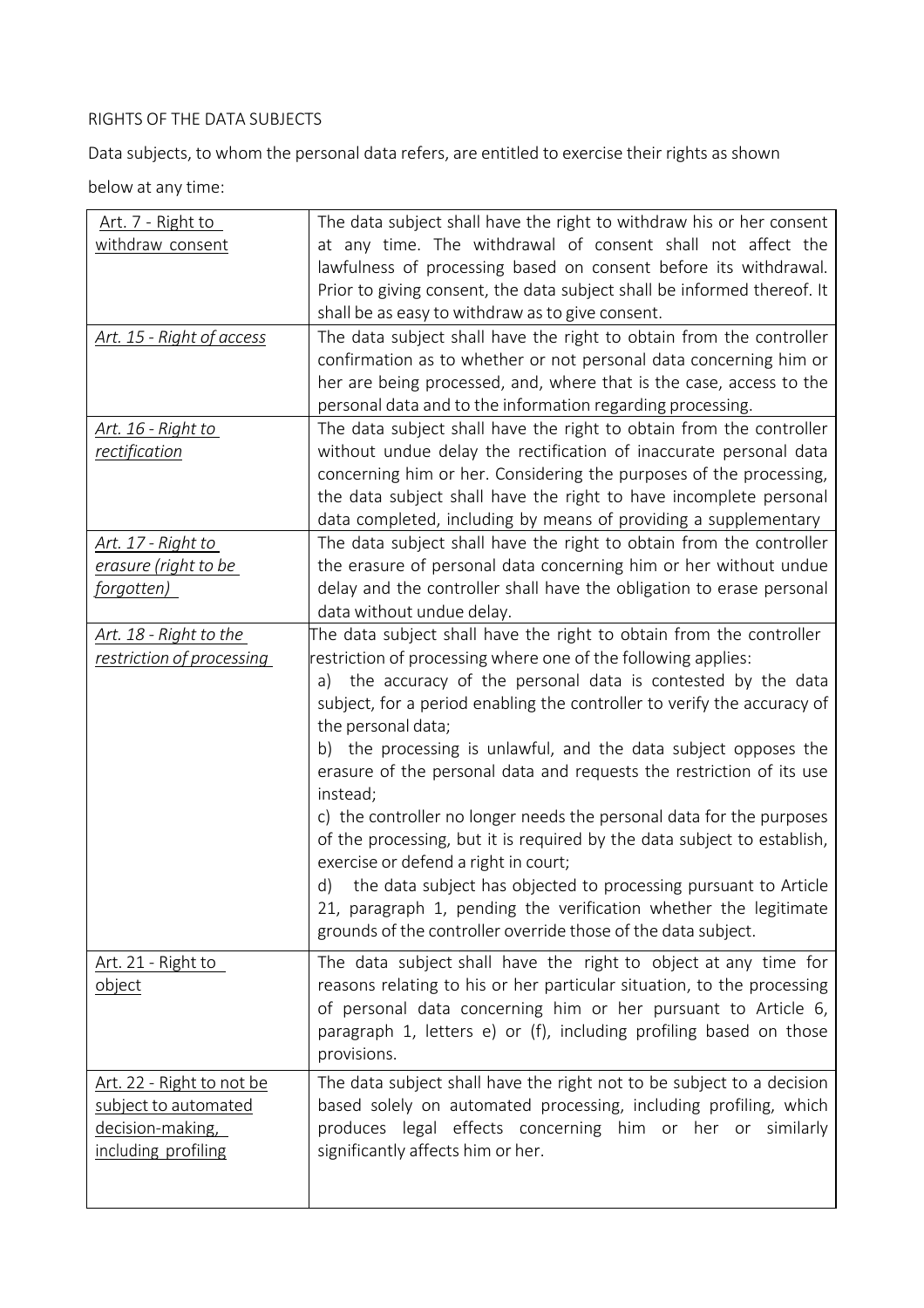# RIGHTS OF THE DATA SUBJECTS

Data subjects, to whom the personal data refers, are entitled to exercise their rights as shown

below at any time:

| Art. 7 - Right to             | The data subject shall have the right to withdraw his or her consent             |
|-------------------------------|----------------------------------------------------------------------------------|
| withdraw consent              | at any time. The withdrawal of consent shall not affect the                      |
|                               | lawfulness of processing based on consent before its withdrawal.                 |
|                               | Prior to giving consent, the data subject shall be informed thereof. It          |
|                               | shall be as easy to withdraw as to give consent.                                 |
| Art. 15 - Right of access     | The data subject shall have the right to obtain from the controller              |
|                               | confirmation as to whether or not personal data concerning him or                |
|                               | her are being processed, and, where that is the case, access to the              |
|                               | personal data and to the information regarding processing.                       |
| <u> Art. 16 - Right to</u>    | The data subject shall have the right to obtain from the controller              |
| <u>rectification</u>          | without undue delay the rectification of inaccurate personal data                |
|                               | concerning him or her. Considering the purposes of the processing,               |
|                               | the data subject shall have the right to have incomplete personal                |
|                               | data completed, including by means of providing a supplementary                  |
| <u> Art. 17 - Right to</u>    | The data subject shall have the right to obtain from the controller              |
| erasure (right to be          | the erasure of personal data concerning him or her without undue                 |
| <u>forgotten)</u>             | delay and the controller shall have the obligation to erase personal             |
|                               | data without undue delay.                                                        |
| <u>Art. 18 - Right to the</u> | The data subject shall have the right to obtain from the controller              |
| restriction of processing     | restriction of processing where one of the following applies:                    |
|                               | the accuracy of the personal data is contested by the data<br>a)                 |
|                               | subject, for a period enabling the controller to verify the accuracy of          |
|                               | the personal data;                                                               |
|                               | b) the processing is unlawful, and the data subject opposes the                  |
|                               | erasure of the personal data and requests the restriction of its use<br>instead; |
|                               | c) the controller no longer needs the personal data for the purposes             |
|                               | of the processing, but it is required by the data subject to establish,          |
|                               | exercise or defend a right in court;                                             |
|                               | d) the data subject has objected to processing pursuant to Article               |
|                               | 21, paragraph 1, pending the verification whether the legitimate                 |
|                               | grounds of the controller override those of the data subject.                    |
| Art. 21 - Right to            | The data subject shall have the right to object at any time for                  |
| object                        | reasons relating to his or her particular situation, to the processing           |
|                               | of personal data concerning him or her pursuant to Article 6,                    |
|                               | paragraph 1, letters e) or (f), including profiling based on those               |
|                               | provisions.                                                                      |
| Art. 22 - Right to not be     | The data subject shall have the right not to be subject to a decision            |
| subject to automated          | based solely on automated processing, including profiling, which                 |
| decision-making,              | produces legal effects concerning him or her or similarly                        |
| including profiling           | significantly affects him or her.                                                |
|                               |                                                                                  |
|                               |                                                                                  |